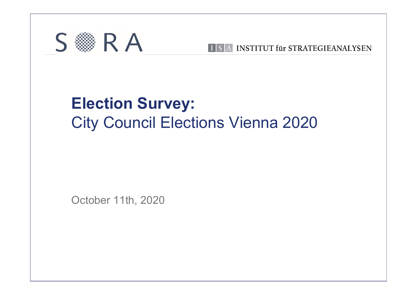

### **Election Survey:**<br>City Council Elections Vienna 20 RA BERNIEUT für STRATEGIEANALYSEN<br>Election Survey:<br>City Council Elections Vienna 2020 Election Survey:<br>City Council Elections Vienna<br>October 11th, 2020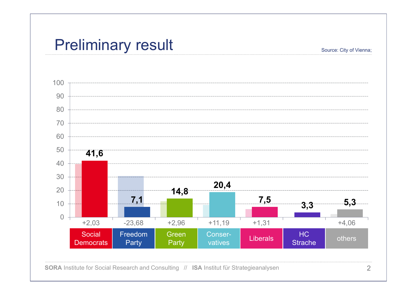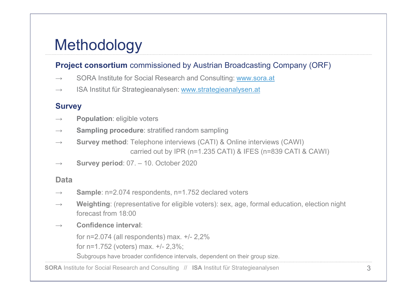### Methodology

### **Methodology**<br>
Project consortium commissioned by Austrian Broadcasting Company (ORF)<br>
→ SORA Institute for Social Research and Consulting: <u>www.sora.at</u><br>
→ ISA Institut für Strategieanalysen: <u>www.strategieanalysen.at</u> → SORA Institute for Social Research and Consulting: www.sora.at → ISA Institut für Strategieanalysen: www.strategieanalysen.at

- 
- 

### **Survey**

- $\rightarrow$  Population: eligible voters
- $\rightarrow$  Sampling procedure: stratified random sampling
- <sup>→</sup> Survey method: Telephone interviews (CATI) & Online interviews (CAWI) **y**<br>
commissioned by Austrian Broadcasting Company (ORF)<br>
F Social Research and Consulting: <u>www.sora.at</u><br>
ategieanalysen: <u>www.strategieanalysen.at</u><br>
ble voters<br> **dure**: stratified random sampling<br>
Telephone interviews (C <sup>→</sup> Survey period: 07. – 10. October 2020 **Survey**<br>
→ **Population:** eligible voters<br>
→ **Sampling procedure:** stratified random sampling<br>
→ **Survey method:** Telephone interviews (CATI) & Online interviews<br>
carried out by IPR (n=1.235 CATI) & IFES (n=83<br>
→ **Survey** Population: eigiple voters<br>
Sampling procedure: stratified random sampling<br>
Survey method: Telephone interviews (CATI) & Online interviews (CAWI)<br>
carried out by IPR (n=1.235 CATI) & IFES (n=839 CATI & CAWI)<br>
Survey period Sampling procedure: stratified random sampling<br>
Survey method: Telephone interviews (CATI) & Online interviews<br>
carried out by IPR (n=1.235 CATI) & IFES (n=839<br>
Survey period: 07. – 10. October 2020<br>
Sample: n=2.074 respo
- 

### Data

- 
- → **Survey method:** Telephone interviews (CATI) & Online interviews (CAWI)<br>
carried out by IPR (n=1.235 CATI) & IFES (n=839 CATI & CAWI)<br>
→ **Survey period:** 07. 10. October 2020<br> **Data**<br>
→ **Sample:** n=2.074 respondents, **Project consortium** commissioned by Austrian Broadcasting Company (ORF)<br>
→ SORA Institute for Social Research and Consulting: www.scra.at<br>
<br> **Survey**<br>
→ **Population:** eligible voters<br>
<br>
→ **Population:** eligible voters<br>  $\rightarrow$  Weighting: (representative for eligible voters): sex, age, formal education, election night forecast from 18:00 For net all response the state of the matter of the matter of the formulation: eligible voters<br>
Sampling procedure: stratified random sampling<br>
Survey method: Telephone interviews (CATI) & Online interviews (CAWI)<br>
carried
	-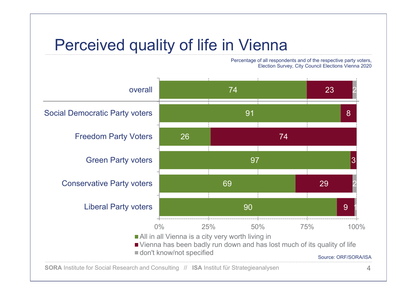Percentage of all respondents and of the respective party voters,

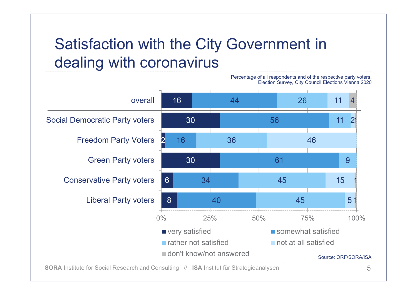## Satisfaction with the City Government in<br>dealing with coronavirus<br>Percentage of all respondents and of the respective party voters, Satisfaction with the City Governmer

Freedom Party voters 30<br>
Green Party voters 30<br>
Liberal Party voters 6 34<br>
Liberal Party voters 8 40<br>
0% 25% 50% 75% 100%<br>
For Social Research and Consulting // ISA Institut für Strategieanalysen<br>
SORA Institute for Social 16 16 44 5 30 2 16 36 30 6 34 5 8 40 and 10 44 56 16 36 36 61 34 40 26 11 4  $11 \quad 21 \quad 1$ 36 9 45 45 11 21 21 22 46 15 1 | 5 4  $1$ 1 1 16 26 11 4<br>
30 56 11 2<br>
2 16 36 46<br>
30 61 9<br>
6 34 45 15<br>
8 40 45 51<br>
9% 25% 50% 75% 100%<br>
Levery satisfied not at all satisfied<br>
10 45 51<br>
9 60% 25% 50% 75% 100%<br>
100%<br>
100%<br>
100%<br>
100%<br>
100%<br>
100%<br>
100%<br>
100%<br>
100%<br>
100%<br> overall 16 Social Democratic Party voters 30 Freedom Party Voters 2 16 16 36 Green Party voters Conservative Party voters 6 34 Liberal Party voters 8 8 40 ■ very satisfied somewhat satisfied **Finally and satisfied not at all satisfied** don't know/not answered Percentage of all respondents and of the respective party voters, Election Survey, City Council Elections Vienna 2020<br>Election Survey, City Council Elections Vienna 2020<br>26 11 4 Source: ORF/SORA/ISA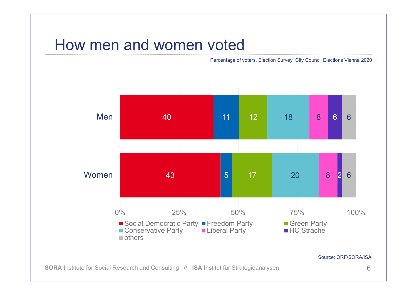# How men and women voted<br>Percentage of voters, Election Survey, City Council Elections Vienna 202

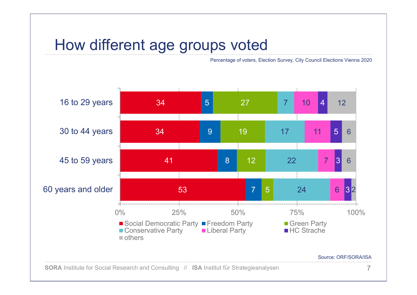# How different age groups voted

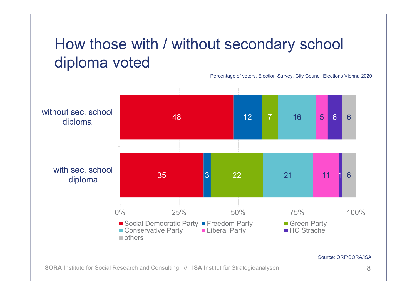## How those with / without secondary school<br>diploma voted<br>Percentage of voters, Election Survey, City Council Elections Vienna 2020 How those with / without second<br>diploma voted<br>Percentage of voters, Election

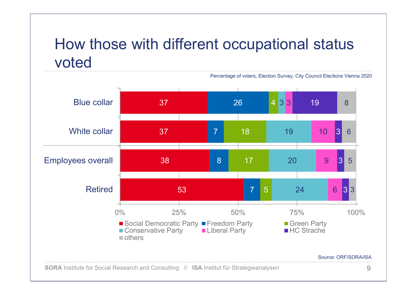### How those with different occupational status voted voted

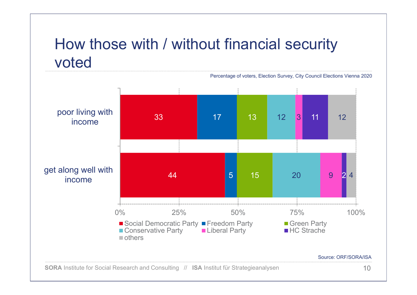### How those with / without financial security<br>voted<br>Percentage of voters, Election Survey, City Council Elections Vienna 2020 voted

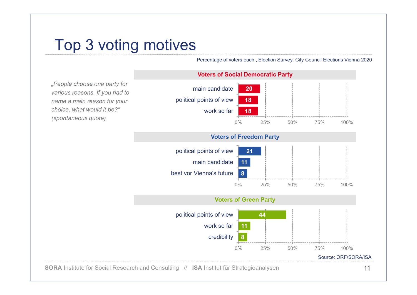# Top 3 voting motives<br>
Percentage of voters each , Election Survey, City<br>
Voters of Social Democratic Party



11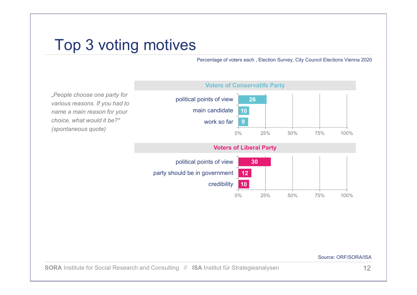# Top 3 voting motives

"People choose one party for various reasons. If you had to name a main reason for your choice, what would it be?" (spontaneous quote)



### Source: ORF/SORA/ISA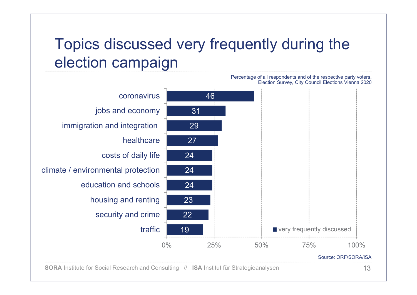## Topics discussed very frequently during the<br>election campaign<br>Percentage of all respondents and of the respective party voters, Topics discussed very frequently<br>
election campaign

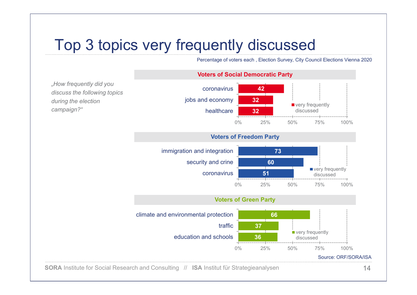# Top 3 topics very frequently discussed<br>
Percentage of voters each , Election Survey, City Council Elections Vienna 2020<br>
Voters of Social Democratic Party



14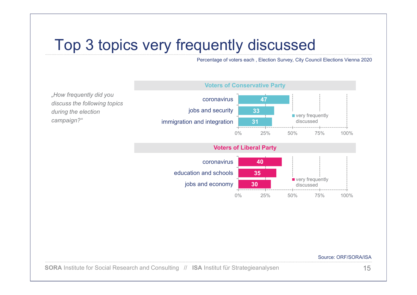# Top 3 topics very frequently discussed